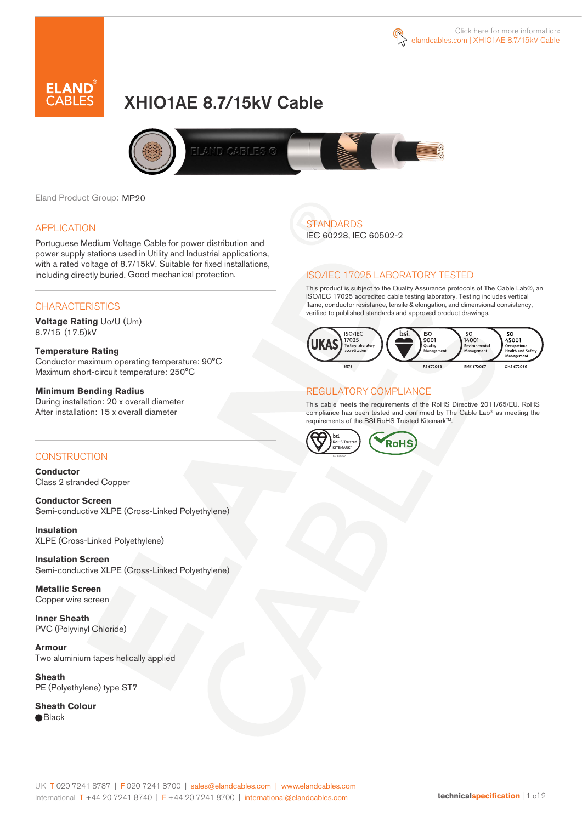



# XHIO1AE 8.7/15kV Cable



Eland Product Group: MP20

#### APPLICATION

Portuguese Medium Voltage Cable for power distribution and power supply stations used in Utility and Industrial applications, with a rated voltage of 8.7/15kV. Suitable for fixed installations, including directly buried. Good mechanical protection.

## **CHARACTERISTICS**

**Voltage Rating** Uo/U (Um) 8.7/15 (17.5)kV

#### **Temperature Rating**

Conductor maximum operating temperature: 90°C Maximum short-circuit temperature: 250°C

#### **Minimum Bending Radius**

During installation: 20 x overall diameter After installation: 15 x overall diameter

### CONSTRUCTION

**Conductor**  Class 2 stranded Copper

**Conductor Screen** Semi-conductive XLPE (Cross-Linked Polyethylene)

**Insulation** XLPE (Cross-Linked Polyethylene)

**Insulation Screen** Semi-conductive XLPE (Cross-Linked Polyethylene)

**Metallic Screen**  Copper wire screen

**Inner Sheath** PVC (Polyvinyl Chloride)

**Armour** Two aluminium tapes helically applied

**Sheath** PE (Polyethylene) type ST7

**Sheath Colour**  ● Black

**STANDARDS** 

IEC 60228, IEC 60502-2

#### ISO/IEC 17025 LABORATORY TESTED

This product is subject to the Quality Assurance protocols of The Cable Lab®, an ISO/IEC 17025 accredited cable testing laboratory. Testing includes vertical flame, conductor resistance, tensile & elongation, and dimensional consistency, verified to published standards and approved product drawings.



## REGULATORY COMPLIANCE

This cable meets the requirements of the RoHS Directive 2011/65/EU. RoHS compliance has been tested and confirmed by The Cable Lab® as meeting the requirements of the BSI RoHS Trusted KitemarkTM.